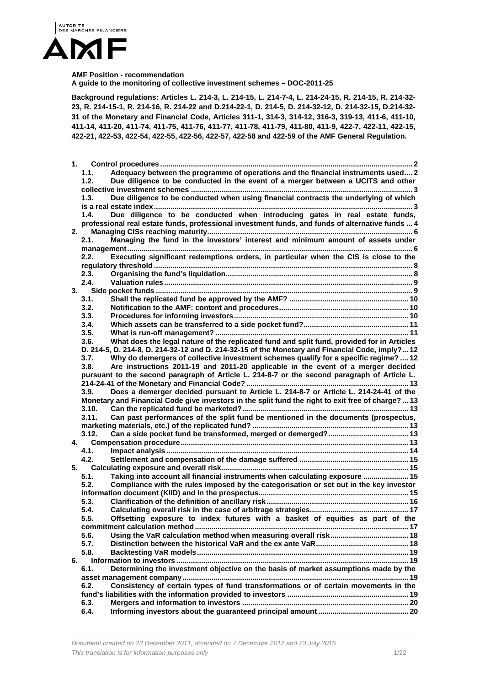

#### **AMF Position - recommendation**

**A guide to the monitoring of collective investment schemes – DOC-2011-25** 

**Background regulations: Articles L. 214-3, L. 214-15, L. 214-7-4, L. 214-24-15, R. 214-15, R. 214-32- 23, R. 214-15-1, R. 214-16, R. 214-22 and D.214-22-1, D. 214-5, D. 214-32-12, D. 214-32-15, D.214-32- 31 of the Monetary and Financial Code, Articles 311-1, 314-3, 314-12, 316-3, 319-13, 411-6, 411-10, 411-14, 411-20, 411-74, 411-75, 411-76, 411-77, 411-78, 411-79, 411-80, 411-9, 422-7, 422-11, 422-15, 422-21, 422-53, 422-54, 422-55, 422-56, 422-57, 422-58 and 422-59 of the AMF General Regulation.** 

| 1. |       |                                                                                                    |  |
|----|-------|----------------------------------------------------------------------------------------------------|--|
|    | 1.1.  | Adequacy between the programme of operations and the financial instruments used 2                  |  |
|    | 1.2.  | Due diligence to be conducted in the event of a merger between a UCITS and other                   |  |
|    |       |                                                                                                    |  |
|    | 1.3.  | Due diligence to be conducted when using financial contracts the underlying of which               |  |
|    |       |                                                                                                    |  |
|    | 1.4.  | Due diligence to be conducted when introducing gates in real estate funds,                         |  |
|    |       | professional real estate funds, professional investment funds, and funds of alternative funds  4   |  |
| 2. |       |                                                                                                    |  |
|    | 2.1.  | Managing the fund in the investors' interest and minimum amount of assets under                    |  |
|    |       |                                                                                                    |  |
|    | 2.2.  | Executing significant redemptions orders, in particular when the CIS is close to the               |  |
|    | 2.3.  |                                                                                                    |  |
|    | 2.4.  |                                                                                                    |  |
| 3. |       |                                                                                                    |  |
|    | 3.1.  |                                                                                                    |  |
|    | 3.2.  |                                                                                                    |  |
|    | 3.3.  |                                                                                                    |  |
|    | 3.4.  |                                                                                                    |  |
|    | 3.5.  |                                                                                                    |  |
|    | 3.6.  | What does the legal nature of the replicated fund and split fund, provided for in Articles         |  |
|    |       | D. 214-5, D. 214-8, D. 214-32-12 and D. 214-32-15 of the Monetary and Financial Code, imply? 12    |  |
|    | 3.7.  | Why do demergers of collective investment schemes qualify for a specific regime?  12               |  |
|    | 3.8.  | Are instructions 2011-19 and 2011-20 applicable in the event of a merger decided                   |  |
|    |       | pursuant to the second paragraph of Article L. 214-8-7 or the second paragraph of Article L.       |  |
|    |       |                                                                                                    |  |
|    | 3.9.  | Does a demerger decided pursuant to Article L. 214-8-7 or Article L. 214-24-41 of the              |  |
|    |       | Monetary and Financial Code give investors in the split fund the right to exit free of charge?  13 |  |
|    | 3.10. |                                                                                                    |  |
|    | 3.11. | Can past performances of the split fund be mentioned in the documents (prospectus,                 |  |
|    |       |                                                                                                    |  |
|    | 3.12. |                                                                                                    |  |
| 4. |       |                                                                                                    |  |
|    | 4.1.  |                                                                                                    |  |
|    | 4.2.  |                                                                                                    |  |
| 5. |       |                                                                                                    |  |
|    | 5.1.  | Taking into account all financial instruments when calculating exposure  15                        |  |
|    | 5.2.  | Compliance with the rules imposed by the categorisation or set out in the key investor             |  |
|    |       |                                                                                                    |  |
|    | 5.3.  |                                                                                                    |  |
|    | 5.4.  |                                                                                                    |  |
|    | 5.5.  | Offsetting exposure to index futures with a basket of equities as part of the                      |  |
|    | 5.6.  |                                                                                                    |  |
|    | 5.7.  |                                                                                                    |  |
|    | 5.8.  |                                                                                                    |  |
| 6. |       |                                                                                                    |  |
|    | 6.1.  | Determining the investment objective on the basis of market assumptions made by the                |  |
|    |       |                                                                                                    |  |
|    | 6.2.  | Consistency of certain types of fund transformations or of certain movements in the                |  |
|    |       |                                                                                                    |  |
|    | 6.3.  |                                                                                                    |  |
|    | 6.4.  |                                                                                                    |  |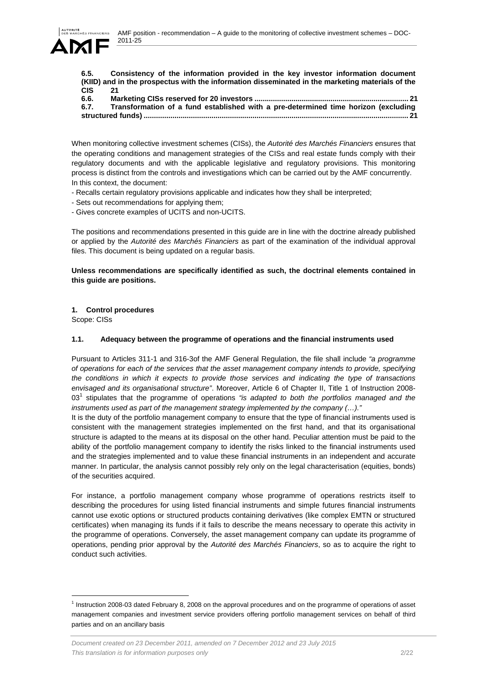

**6.5. Consistency of the information provided in the key investor information document (KIID) and in the prospectus with the information disseminated in the marketing materials of the CIS 21**

| 6.6. |                                                                                    |  |
|------|------------------------------------------------------------------------------------|--|
| 6.7. | Transformation of a fund established with a pre-determined time horizon (excluding |  |
|      |                                                                                    |  |

When monitoring collective investment schemes (CISs), the *Autorité des Marchés Financiers* ensures that the operating conditions and management strategies of the CISs and real estate funds comply with their regulatory documents and with the applicable legislative and regulatory provisions. This monitoring process is distinct from the controls and investigations which can be carried out by the AMF concurrently. In this context, the document:

- Recalls certain regulatory provisions applicable and indicates how they shall be interpreted;
- Sets out recommendations for applying them;
- Gives concrete examples of UCITS and non-UCITS.

The positions and recommendations presented in this guide are in line with the doctrine already published or applied by the *Autorité des Marchés Financiers* as part of the examination of the individual approval files. This document is being updated on a regular basis.

# **Unless recommendations are specifically identified as such, the doctrinal elements contained in this guide are positions.**

# **1. Control procedures**

Scope: CISs

l

# **1.1. Adequacy between the programme of operations and the financial instruments used**

Pursuant to Articles 311-1 and 316-3of the AMF General Regulation, the file shall include *"a programme of operations for each of the services that the asset management company intends to provide, specifying the conditions in which it expects to provide those services and indicating the type of transactions envisaged and its organisational structure"*. Moreover, Article 6 of Chapter II, Title 1 of Instruction 2008- 03<sup>1</sup> stipulates that the programme of operations "is adapted to both the portfolios managed and the *instruments used as part of the management strategy implemented by the company (…)."*

It is the duty of the portfolio management company to ensure that the type of financial instruments used is consistent with the management strategies implemented on the first hand, and that its organisational structure is adapted to the means at its disposal on the other hand. Peculiar attention must be paid to the ability of the portfolio management company to identify the risks linked to the financial instruments used and the strategies implemented and to value these financial instruments in an independent and accurate manner. In particular, the analysis cannot possibly rely only on the legal characterisation (equities, bonds) of the securities acquired.

For instance, a portfolio management company whose programme of operations restricts itself to describing the procedures for using listed financial instruments and simple futures financial instruments cannot use exotic options or structured products containing derivatives (like complex EMTN or structured certificates) when managing its funds if it fails to describe the means necessary to operate this activity in the programme of operations. Conversely, the asset management company can update its programme of operations, pending prior approval by the *Autorité des Marchés Financiers*, so as to acquire the right to conduct such activities.

 $<sup>1</sup>$  Instruction 2008-03 dated February 8, 2008 on the approval procedures and on the programme of operations of asset</sup> management companies and investment service providers offering portfolio management services on behalf of third parties and on an ancillary basis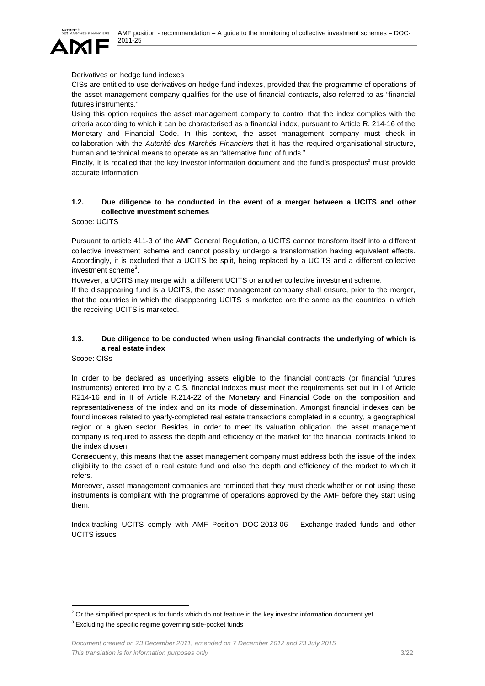

### Derivatives on hedge fund indexes

CISs are entitled to use derivatives on hedge fund indexes, provided that the programme of operations of the asset management company qualifies for the use of financial contracts, also referred to as "financial futures instruments."

Using this option requires the asset management company to control that the index complies with the criteria according to which it can be characterised as a financial index, pursuant to Article R. 214-16 of the Monetary and Financial Code. In this context, the asset management company must check in collaboration with the *Autorité des Marchés Financiers* that it has the required organisational structure, human and technical means to operate as an "alternative fund of funds."

Finally, it is recalled that the key investor information document and the fund's prospectus<sup>2</sup> must provide accurate information.

# **1.2. Due diligence to be conducted in the event of a merger between a UCITS and other collective investment schemes**

Scope: UCITS

Pursuant to article 411-3 of the AMF General Regulation, a UCITS cannot transform itself into a different collective investment scheme and cannot possibly undergo a transformation having equivalent effects. Accordingly, it is excluded that a UCITS be split, being replaced by a UCITS and a different collective investment scheme<sup>3</sup>.

However, a UCITS may merge with a different UCITS or another collective investment scheme.

If the disappearing fund is a UCITS, the asset management company shall ensure, prior to the merger, that the countries in which the disappearing UCITS is marketed are the same as the countries in which the receiving UCITS is marketed.

# **1.3. Due diligence to be conducted when using financial contracts the underlying of which is a real estate index**

Scope: CISs

l

In order to be declared as underlying assets eligible to the financial contracts (or financial futures instruments) entered into by a CIS, financial indexes must meet the requirements set out in I of Article R214-16 and in II of Article R.214-22 of the Monetary and Financial Code on the composition and representativeness of the index and on its mode of dissemination. Amongst financial indexes can be found indexes related to yearly-completed real estate transactions completed in a country, a geographical region or a given sector. Besides, in order to meet its valuation obligation, the asset management company is required to assess the depth and efficiency of the market for the financial contracts linked to the index chosen.

Consequently, this means that the asset management company must address both the issue of the index eligibility to the asset of a real estate fund and also the depth and efficiency of the market to which it refers.

Moreover, asset management companies are reminded that they must check whether or not using these instruments is compliant with the programme of operations approved by the AMF before they start using them.

Index-tracking UCITS comply with AMF Position DOC-2013-06 – Exchange-traded funds and other UCITS issues

 $2$  Or the simplified prospectus for funds which do not feature in the key investor information document yet.

 $3$  Excluding the specific regime governing side-pocket funds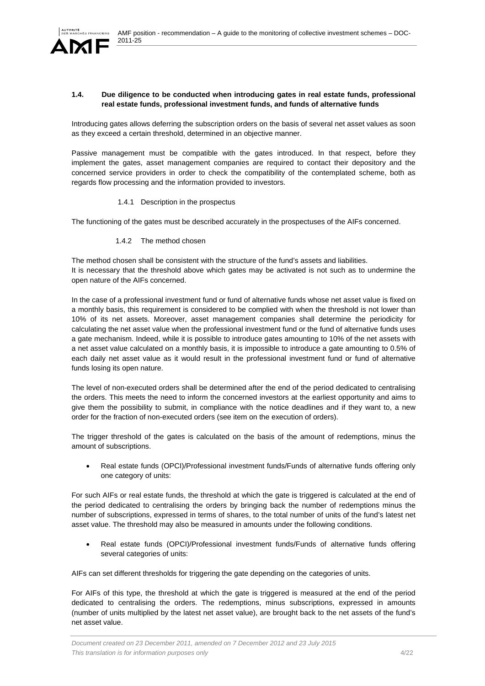

### **1.4. Due diligence to be conducted when introducing gates in real estate funds, professional real estate funds, professional investment funds, and funds of alternative funds**

Introducing gates allows deferring the subscription orders on the basis of several net asset values as soon as they exceed a certain threshold, determined in an objective manner.

Passive management must be compatible with the gates introduced. In that respect, before they implement the gates, asset management companies are required to contact their depository and the concerned service providers in order to check the compatibility of the contemplated scheme, both as regards flow processing and the information provided to investors.

1.4.1 Description in the prospectus

The functioning of the gates must be described accurately in the prospectuses of the AIFs concerned.

1.4.2 The method chosen

The method chosen shall be consistent with the structure of the fund's assets and liabilities. It is necessary that the threshold above which gates may be activated is not such as to undermine the open nature of the AIFs concerned.

In the case of a professional investment fund or fund of alternative funds whose net asset value is fixed on a monthly basis, this requirement is considered to be complied with when the threshold is not lower than 10% of its net assets. Moreover, asset management companies shall determine the periodicity for calculating the net asset value when the professional investment fund or the fund of alternative funds uses a gate mechanism. Indeed, while it is possible to introduce gates amounting to 10% of the net assets with a net asset value calculated on a monthly basis, it is impossible to introduce a gate amounting to 0.5% of each daily net asset value as it would result in the professional investment fund or fund of alternative funds losing its open nature.

The level of non-executed orders shall be determined after the end of the period dedicated to centralising the orders. This meets the need to inform the concerned investors at the earliest opportunity and aims to give them the possibility to submit, in compliance with the notice deadlines and if they want to, a new order for the fraction of non-executed orders (see item on the execution of orders).

The trigger threshold of the gates is calculated on the basis of the amount of redemptions, minus the amount of subscriptions.

 Real estate funds (OPCI)/Professional investment funds/Funds of alternative funds offering only one category of units:

For such AIFs or real estate funds, the threshold at which the gate is triggered is calculated at the end of the period dedicated to centralising the orders by bringing back the number of redemptions minus the number of subscriptions, expressed in terms of shares, to the total number of units of the fund's latest net asset value. The threshold may also be measured in amounts under the following conditions.

 Real estate funds (OPCI)/Professional investment funds/Funds of alternative funds offering several categories of units:

AIFs can set different thresholds for triggering the gate depending on the categories of units.

For AIFs of this type, the threshold at which the gate is triggered is measured at the end of the period dedicated to centralising the orders. The redemptions, minus subscriptions, expressed in amounts (number of units multiplied by the latest net asset value), are brought back to the net assets of the fund's net asset value.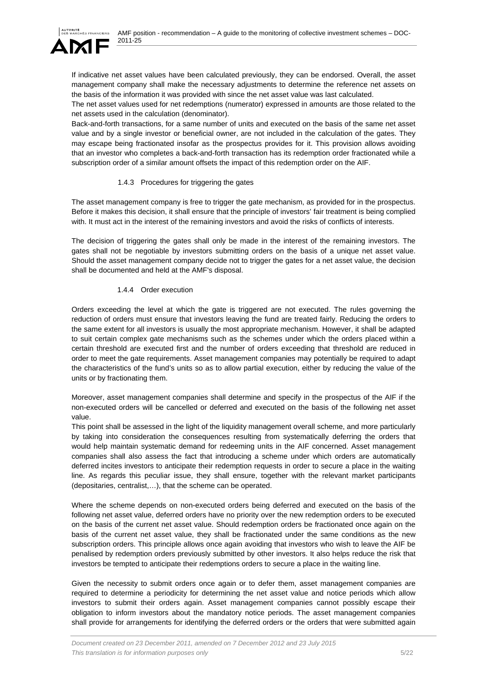

If indicative net asset values have been calculated previously, they can be endorsed. Overall, the asset management company shall make the necessary adjustments to determine the reference net assets on the basis of the information it was provided with since the net asset value was last calculated.

The net asset values used for net redemptions (numerator) expressed in amounts are those related to the net assets used in the calculation (denominator).

Back-and-forth transactions, for a same number of units and executed on the basis of the same net asset value and by a single investor or beneficial owner, are not included in the calculation of the gates. They may escape being fractionated insofar as the prospectus provides for it. This provision allows avoiding that an investor who completes a back-and-forth transaction has its redemption order fractionated while a subscription order of a similar amount offsets the impact of this redemption order on the AIF.

# 1.4.3 Procedures for triggering the gates

The asset management company is free to trigger the gate mechanism, as provided for in the prospectus. Before it makes this decision, it shall ensure that the principle of investors' fair treatment is being complied with. It must act in the interest of the remaining investors and avoid the risks of conflicts of interests.

The decision of triggering the gates shall only be made in the interest of the remaining investors. The gates shall not be negotiable by investors submitting orders on the basis of a unique net asset value. Should the asset management company decide not to trigger the gates for a net asset value, the decision shall be documented and held at the AMF's disposal.

# 1.4.4 Order execution

Orders exceeding the level at which the gate is triggered are not executed. The rules governing the reduction of orders must ensure that investors leaving the fund are treated fairly. Reducing the orders to the same extent for all investors is usually the most appropriate mechanism. However, it shall be adapted to suit certain complex gate mechanisms such as the schemes under which the orders placed within a certain threshold are executed first and the number of orders exceeding that threshold are reduced in order to meet the gate requirements. Asset management companies may potentially be required to adapt the characteristics of the fund's units so as to allow partial execution, either by reducing the value of the units or by fractionating them.

Moreover, asset management companies shall determine and specify in the prospectus of the AIF if the non-executed orders will be cancelled or deferred and executed on the basis of the following net asset value.

This point shall be assessed in the light of the liquidity management overall scheme, and more particularly by taking into consideration the consequences resulting from systematically deferring the orders that would help maintain systematic demand for redeeming units in the AIF concerned. Asset management companies shall also assess the fact that introducing a scheme under which orders are automatically deferred incites investors to anticipate their redemption requests in order to secure a place in the waiting line. As regards this peculiar issue, they shall ensure, together with the relevant market participants (depositaries, centralist,…), that the scheme can be operated.

Where the scheme depends on non-executed orders being deferred and executed on the basis of the following net asset value, deferred orders have no priority over the new redemption orders to be executed on the basis of the current net asset value. Should redemption orders be fractionated once again on the basis of the current net asset value, they shall be fractionated under the same conditions as the new subscription orders. This principle allows once again avoiding that investors who wish to leave the AIF be penalised by redemption orders previously submitted by other investors. It also helps reduce the risk that investors be tempted to anticipate their redemptions orders to secure a place in the waiting line.

Given the necessity to submit orders once again or to defer them, asset management companies are required to determine a periodicity for determining the net asset value and notice periods which allow investors to submit their orders again. Asset management companies cannot possibly escape their obligation to inform investors about the mandatory notice periods. The asset management companies shall provide for arrangements for identifying the deferred orders or the orders that were submitted again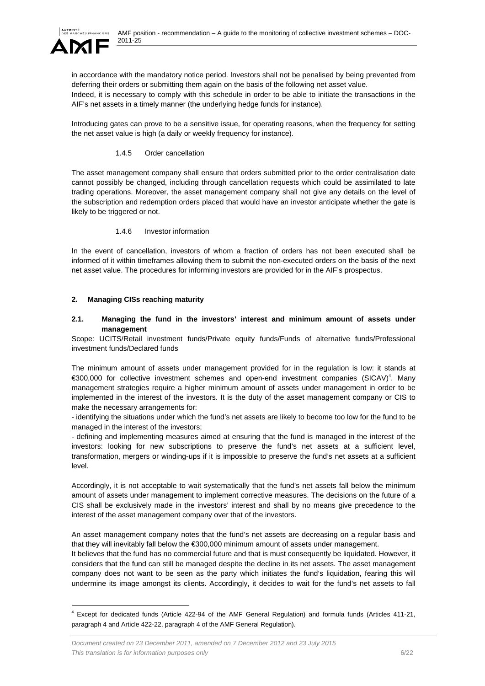

l

in accordance with the mandatory notice period. Investors shall not be penalised by being prevented from deferring their orders or submitting them again on the basis of the following net asset value. Indeed, it is necessary to comply with this schedule in order to be able to initiate the transactions in the AIF's net assets in a timely manner (the underlying hedge funds for instance).

Introducing gates can prove to be a sensitive issue, for operating reasons, when the frequency for setting the net asset value is high (a daily or weekly frequency for instance).

### 1.4.5 Order cancellation

The asset management company shall ensure that orders submitted prior to the order centralisation date cannot possibly be changed, including through cancellation requests which could be assimilated to late trading operations. Moreover, the asset management company shall not give any details on the level of the subscription and redemption orders placed that would have an investor anticipate whether the gate is likely to be triggered or not.

#### 1.4.6 Investor information

In the event of cancellation, investors of whom a fraction of orders has not been executed shall be informed of it within timeframes allowing them to submit the non-executed orders on the basis of the next net asset value. The procedures for informing investors are provided for in the AIF's prospectus.

### **2. Managing CISs reaching maturity**

#### **2.1. Managing the fund in the investors' interest and minimum amount of assets under management**

Scope: UCITS/Retail investment funds/Private equity funds/Funds of alternative funds/Professional investment funds/Declared funds

The minimum amount of assets under management provided for in the regulation is low: it stands at €300,000 for collective investment schemes and open-end investment companies (SICAV)4 . Many management strategies require a higher minimum amount of assets under management in order to be implemented in the interest of the investors. It is the duty of the asset management company or CIS to make the necessary arrangements for:

- identifying the situations under which the fund's net assets are likely to become too low for the fund to be managed in the interest of the investors;

- defining and implementing measures aimed at ensuring that the fund is managed in the interest of the investors: looking for new subscriptions to preserve the fund's net assets at a sufficient level, transformation, mergers or winding-ups if it is impossible to preserve the fund's net assets at a sufficient level.

Accordingly, it is not acceptable to wait systematically that the fund's net assets fall below the minimum amount of assets under management to implement corrective measures. The decisions on the future of a CIS shall be exclusively made in the investors' interest and shall by no means give precedence to the interest of the asset management company over that of the investors.

An asset management company notes that the fund's net assets are decreasing on a regular basis and that they will inevitably fall below the €300,000 minimum amount of assets under management.

It believes that the fund has no commercial future and that is must consequently be liquidated. However, it considers that the fund can still be managed despite the decline in its net assets. The asset management company does not want to be seen as the party which initiates the fund's liquidation, fearing this will undermine its image amongst its clients. Accordingly, it decides to wait for the fund's net assets to fall

<sup>4</sup> Except for dedicated funds (Article 422-94 of the AMF General Regulation) and formula funds (Articles 411-21, paragraph 4 and Article 422-22, paragraph 4 of the AMF General Regulation).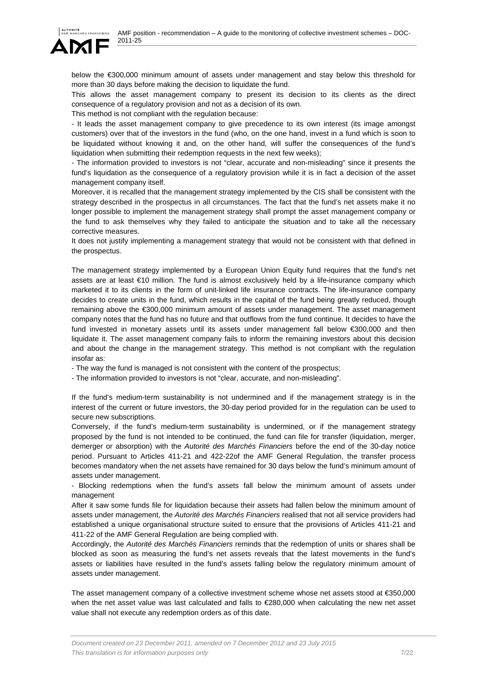

below the €300,000 minimum amount of assets under management and stay below this threshold for more than 30 days before making the decision to liquidate the fund.

This allows the asset management company to present its decision to its clients as the direct consequence of a regulatory provision and not as a decision of its own.

This method is not compliant with the regulation because:

- It leads the asset management company to give precedence to its own interest (its image amongst customers) over that of the investors in the fund (who, on the one hand, invest in a fund which is soon to be liquidated without knowing it and, on the other hand, will suffer the consequences of the fund's liquidation when submitting their redemption requests in the next few weeks);

- The information provided to investors is not "clear, accurate and non-misleading" since it presents the fund's liquidation as the consequence of a regulatory provision while it is in fact a decision of the asset management company itself.

Moreover, it is recalled that the management strategy implemented by the CIS shall be consistent with the strategy described in the prospectus in all circumstances. The fact that the fund's net assets make it no longer possible to implement the management strategy shall prompt the asset management company or the fund to ask themselves why they failed to anticipate the situation and to take all the necessary corrective measures.

It does not justify implementing a management strategy that would not be consistent with that defined in the prospectus.

The management strategy implemented by a European Union Equity fund requires that the fund's net assets are at least €10 million. The fund is almost exclusively held by a life-insurance company which marketed it to its clients in the form of unit-linked life insurance contracts. The life-insurance company decides to create units in the fund, which results in the capital of the fund being greatly reduced, though remaining above the €300,000 minimum amount of assets under management. The asset management company notes that the fund has no future and that outflows from the fund continue. It decides to have the fund invested in monetary assets until its assets under management fall below €300,000 and then liquidate it. The asset management company fails to inform the remaining investors about this decision and about the change in the management strategy. This method is not compliant with the regulation insofar as:

- The way the fund is managed is not consistent with the content of the prospectus;

- The information provided to investors is not "clear, accurate, and non-misleading".

If the fund's medium-term sustainability is not undermined and if the management strategy is in the interest of the current or future investors, the 30-day period provided for in the regulation can be used to secure new subscriptions.

Conversely, if the fund's medium-term sustainability is undermined, or if the management strategy proposed by the fund is not intended to be continued, the fund can file for transfer (liquidation, merger, demerger or absorption) with the *Autorité des Marchés Financiers* before the end of the 30-day notice period. Pursuant to Articles 411-21 and 422-22of the AMF General Regulation, the transfer process becomes mandatory when the net assets have remained for 30 days below the fund's minimum amount of assets under management.

- Blocking redemptions when the fund's assets fall below the minimum amount of assets under management

After it saw some funds file for liquidation because their assets had fallen below the minimum amount of assets under management, the *Autorité des Marchés Financiers* realised that not all service providers had established a unique organisational structure suited to ensure that the provisions of Articles 411-21 and 411-22 of the AMF General Regulation are being complied with.

Accordingly, the *Autorité des Marchés Financiers* reminds that the redemption of units or shares shall be blocked as soon as measuring the fund's net assets reveals that the latest movements in the fund's assets or liabilities have resulted in the fund's assets falling below the regulatory minimum amount of assets under management.

The asset management company of a collective investment scheme whose net assets stood at €350,000 when the net asset value was last calculated and falls to €280,000 when calculating the new net asset value shall not execute any redemption orders as of this date.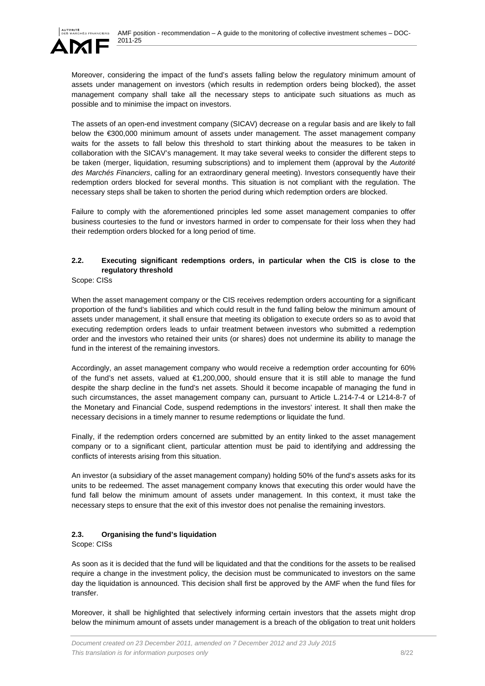

Moreover, considering the impact of the fund's assets falling below the regulatory minimum amount of assets under management on investors (which results in redemption orders being blocked), the asset management company shall take all the necessary steps to anticipate such situations as much as possible and to minimise the impact on investors.

The assets of an open-end investment company (SICAV) decrease on a regular basis and are likely to fall below the €300,000 minimum amount of assets under management. The asset management company waits for the assets to fall below this threshold to start thinking about the measures to be taken in collaboration with the SICAV's management. It may take several weeks to consider the different steps to be taken (merger, liquidation, resuming subscriptions) and to implement them (approval by the *Autorité des Marchés Financiers*, calling for an extraordinary general meeting). Investors consequently have their redemption orders blocked for several months. This situation is not compliant with the regulation. The necessary steps shall be taken to shorten the period during which redemption orders are blocked.

Failure to comply with the aforementioned principles led some asset management companies to offer business courtesies to the fund or investors harmed in order to compensate for their loss when they had their redemption orders blocked for a long period of time.

# **2.2. Executing significant redemptions orders, in particular when the CIS is close to the regulatory threshold**

Scope: CISs

When the asset management company or the CIS receives redemption orders accounting for a significant proportion of the fund's liabilities and which could result in the fund falling below the minimum amount of assets under management, it shall ensure that meeting its obligation to execute orders so as to avoid that executing redemption orders leads to unfair treatment between investors who submitted a redemption order and the investors who retained their units (or shares) does not undermine its ability to manage the fund in the interest of the remaining investors.

Accordingly, an asset management company who would receive a redemption order accounting for 60% of the fund's net assets, valued at €1,200,000, should ensure that it is still able to manage the fund despite the sharp decline in the fund's net assets. Should it become incapable of managing the fund in such circumstances, the asset management company can, pursuant to Article L.214-7-4 or L214-8-7 of the Monetary and Financial Code, suspend redemptions in the investors' interest. It shall then make the necessary decisions in a timely manner to resume redemptions or liquidate the fund.

Finally, if the redemption orders concerned are submitted by an entity linked to the asset management company or to a significant client, particular attention must be paid to identifying and addressing the conflicts of interests arising from this situation.

An investor (a subsidiary of the asset management company) holding 50% of the fund's assets asks for its units to be redeemed. The asset management company knows that executing this order would have the fund fall below the minimum amount of assets under management. In this context, it must take the necessary steps to ensure that the exit of this investor does not penalise the remaining investors.

# **2.3. Organising the fund's liquidation**

Scope: CISs

As soon as it is decided that the fund will be liquidated and that the conditions for the assets to be realised require a change in the investment policy, the decision must be communicated to investors on the same day the liquidation is announced. This decision shall first be approved by the AMF when the fund files for transfer.

Moreover, it shall be highlighted that selectively informing certain investors that the assets might drop below the minimum amount of assets under management is a breach of the obligation to treat unit holders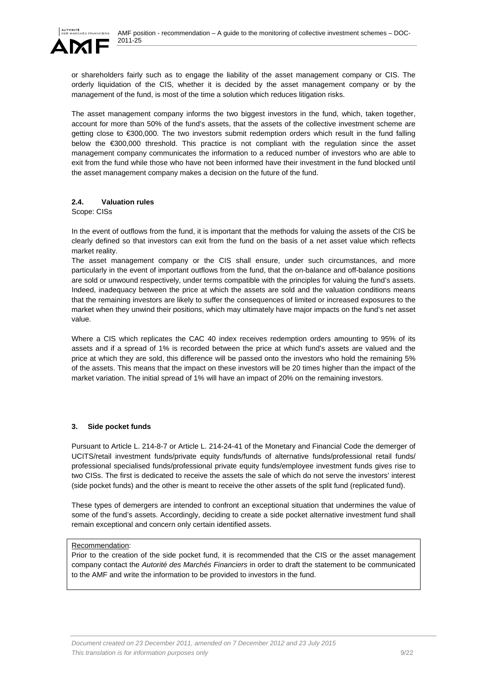

or shareholders fairly such as to engage the liability of the asset management company or CIS. The orderly liquidation of the CIS, whether it is decided by the asset management company or by the management of the fund, is most of the time a solution which reduces litigation risks.

The asset management company informs the two biggest investors in the fund, which, taken together, account for more than 50% of the fund's assets, that the assets of the collective investment scheme are getting close to €300,000. The two investors submit redemption orders which result in the fund falling below the €300,000 threshold. This practice is not compliant with the regulation since the asset management company communicates the information to a reduced number of investors who are able to exit from the fund while those who have not been informed have their investment in the fund blocked until the asset management company makes a decision on the future of the fund.

# **2.4. Valuation rules**

Scope: CISs

In the event of outflows from the fund, it is important that the methods for valuing the assets of the CIS be clearly defined so that investors can exit from the fund on the basis of a net asset value which reflects market reality.

The asset management company or the CIS shall ensure, under such circumstances, and more particularly in the event of important outflows from the fund, that the on-balance and off-balance positions are sold or unwound respectively, under terms compatible with the principles for valuing the fund's assets. Indeed, inadequacy between the price at which the assets are sold and the valuation conditions means that the remaining investors are likely to suffer the consequences of limited or increased exposures to the market when they unwind their positions, which may ultimately have major impacts on the fund's net asset value.

Where a CIS which replicates the CAC 40 index receives redemption orders amounting to 95% of its assets and if a spread of 1% is recorded between the price at which fund's assets are valued and the price at which they are sold, this difference will be passed onto the investors who hold the remaining 5% of the assets. This means that the impact on these investors will be 20 times higher than the impact of the market variation. The initial spread of 1% will have an impact of 20% on the remaining investors.

### **3. Side pocket funds**

Pursuant to Article L. 214-8-7 or Article L. 214-24-41 of the Monetary and Financial Code the demerger of UCITS/retail investment funds/private equity funds/funds of alternative funds/professional retail funds/ professional specialised funds/professional private equity funds/employee investment funds gives rise to two CISs. The first is dedicated to receive the assets the sale of which do not serve the investors' interest (side pocket funds) and the other is meant to receive the other assets of the split fund (replicated fund).

These types of demergers are intended to confront an exceptional situation that undermines the value of some of the fund's assets. Accordingly, deciding to create a side pocket alternative investment fund shall remain exceptional and concern only certain identified assets.

### Recommendation:

Prior to the creation of the side pocket fund, it is recommended that the CIS or the asset management company contact the *Autorité des Marchés Financiers* in order to draft the statement to be communicated to the AMF and write the information to be provided to investors in the fund.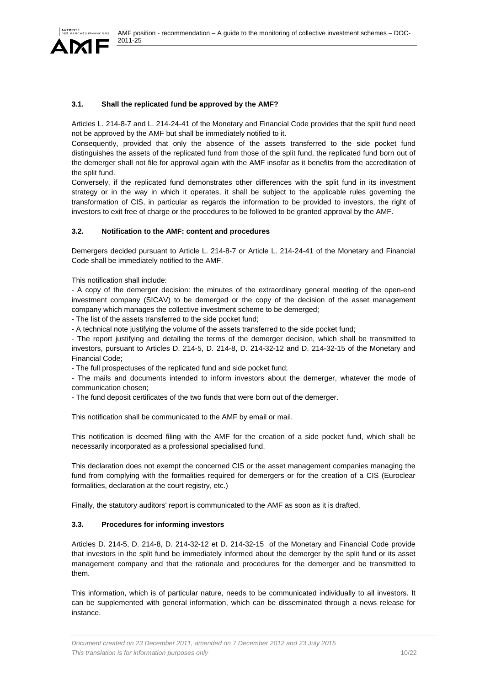

### **3.1. Shall the replicated fund be approved by the AMF?**

Articles L. 214-8-7 and L. 214-24-41 of the Monetary and Financial Code provides that the split fund need not be approved by the AMF but shall be immediately notified to it.

Consequently, provided that only the absence of the assets transferred to the side pocket fund distinguishes the assets of the replicated fund from those of the split fund, the replicated fund born out of the demerger shall not file for approval again with the AMF insofar as it benefits from the accreditation of the split fund.

Conversely, if the replicated fund demonstrates other differences with the split fund in its investment strategy or in the way in which it operates, it shall be subject to the applicable rules governing the transformation of CIS, in particular as regards the information to be provided to investors, the right of investors to exit free of charge or the procedures to be followed to be granted approval by the AMF.

### **3.2. Notification to the AMF: content and procedures**

Demergers decided pursuant to Article L. 214-8-7 or Article L. 214-24-41 of the Monetary and Financial Code shall be immediately notified to the AMF.

This notification shall include:

- A copy of the demerger decision: the minutes of the extraordinary general meeting of the open-end investment company (SICAV) to be demerged or the copy of the decision of the asset management company which manages the collective investment scheme to be demerged;

- The list of the assets transferred to the side pocket fund;

- A technical note justifying the volume of the assets transferred to the side pocket fund;

- The report justifying and detailing the terms of the demerger decision, which shall be transmitted to investors, pursuant to Articles D. 214-5, D. 214-8, D. 214-32-12 and D. 214-32-15 of the Monetary and Financial Code;

- The full prospectuses of the replicated fund and side pocket fund;

- The mails and documents intended to inform investors about the demerger, whatever the mode of communication chosen;

- The fund deposit certificates of the two funds that were born out of the demerger.

This notification shall be communicated to the AMF by email or mail.

This notification is deemed filing with the AMF for the creation of a side pocket fund, which shall be necessarily incorporated as a professional specialised fund.

This declaration does not exempt the concerned CIS or the asset management companies managing the fund from complying with the formalities required for demergers or for the creation of a CIS (Euroclear formalities, declaration at the court registry, etc.)

Finally, the statutory auditors' report is communicated to the AMF as soon as it is drafted.

### **3.3. Procedures for informing investors**

Articles D. 214-5, D. 214-8, D. 214-32-12 et D. 214-32-15 of the Monetary and Financial Code provide that investors in the split fund be immediately informed about the demerger by the split fund or its asset management company and that the rationale and procedures for the demerger and be transmitted to them.

This information, which is of particular nature, needs to be communicated individually to all investors. It can be supplemented with general information, which can be disseminated through a news release for instance.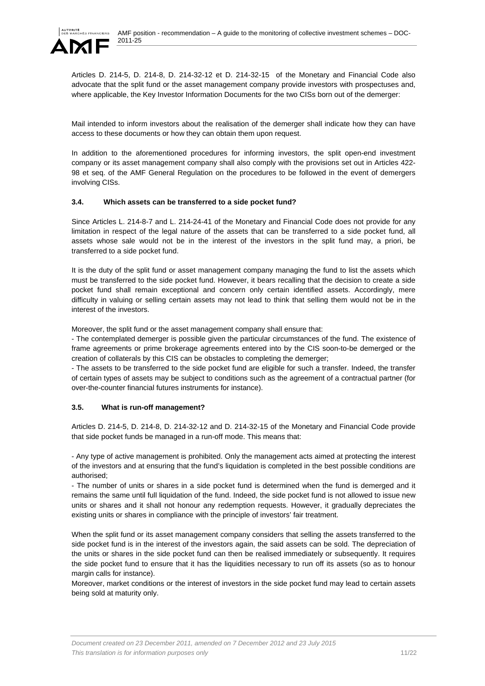

Articles D. 214-5, D. 214-8, D. 214-32-12 et D. 214-32-15 of the Monetary and Financial Code also advocate that the split fund or the asset management company provide investors with prospectuses and, where applicable, the Key Investor Information Documents for the two CISs born out of the demerger:

Mail intended to inform investors about the realisation of the demerger shall indicate how they can have access to these documents or how they can obtain them upon request.

In addition to the aforementioned procedures for informing investors, the split open-end investment company or its asset management company shall also comply with the provisions set out in Articles 422- 98 et seq. of the AMF General Regulation on the procedures to be followed in the event of demergers involving CISs.

# **3.4. Which assets can be transferred to a side pocket fund?**

Since Articles L. 214-8-7 and L. 214-24-41 of the Monetary and Financial Code does not provide for any limitation in respect of the legal nature of the assets that can be transferred to a side pocket fund, all assets whose sale would not be in the interest of the investors in the split fund may, a priori, be transferred to a side pocket fund.

It is the duty of the split fund or asset management company managing the fund to list the assets which must be transferred to the side pocket fund. However, it bears recalling that the decision to create a side pocket fund shall remain exceptional and concern only certain identified assets. Accordingly, mere difficulty in valuing or selling certain assets may not lead to think that selling them would not be in the interest of the investors.

Moreover, the split fund or the asset management company shall ensure that:

- The contemplated demerger is possible given the particular circumstances of the fund. The existence of frame agreements or prime brokerage agreements entered into by the CIS soon-to-be demerged or the creation of collaterals by this CIS can be obstacles to completing the demerger;

- The assets to be transferred to the side pocket fund are eligible for such a transfer. Indeed, the transfer of certain types of assets may be subject to conditions such as the agreement of a contractual partner (for over-the-counter financial futures instruments for instance).

# **3.5. What is run-off management?**

Articles D. 214-5, D. 214-8, D. 214-32-12 and D. 214-32-15 of the Monetary and Financial Code provide that side pocket funds be managed in a run-off mode. This means that:

- Any type of active management is prohibited. Only the management acts aimed at protecting the interest of the investors and at ensuring that the fund's liquidation is completed in the best possible conditions are authorised;

- The number of units or shares in a side pocket fund is determined when the fund is demerged and it remains the same until full liquidation of the fund. Indeed, the side pocket fund is not allowed to issue new units or shares and it shall not honour any redemption requests. However, it gradually depreciates the existing units or shares in compliance with the principle of investors' fair treatment.

When the split fund or its asset management company considers that selling the assets transferred to the side pocket fund is in the interest of the investors again, the said assets can be sold. The depreciation of the units or shares in the side pocket fund can then be realised immediately or subsequently. It requires the side pocket fund to ensure that it has the liquidities necessary to run off its assets (so as to honour margin calls for instance).

Moreover, market conditions or the interest of investors in the side pocket fund may lead to certain assets being sold at maturity only.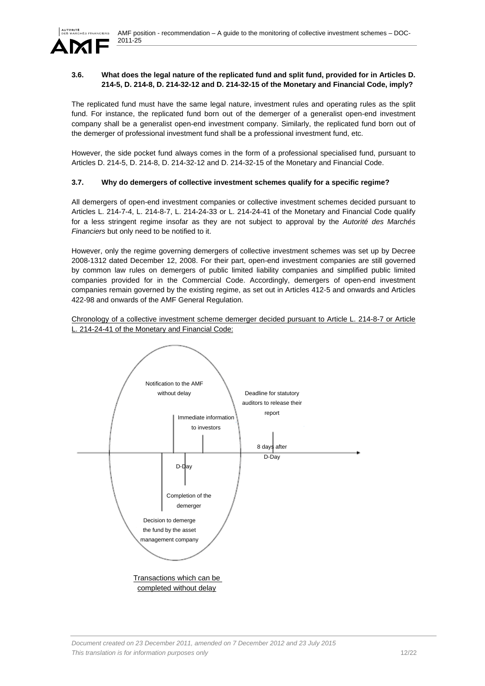

# **3.6. What does the legal nature of the replicated fund and split fund, provided for in Articles D. 214-5, D. 214-8, D. 214-32-12 and D. 214-32-15 of the Monetary and Financial Code, imply?**

The replicated fund must have the same legal nature, investment rules and operating rules as the split fund. For instance, the replicated fund born out of the demerger of a generalist open-end investment company shall be a generalist open-end investment company. Similarly, the replicated fund born out of the demerger of professional investment fund shall be a professional investment fund, etc.

However, the side pocket fund always comes in the form of a professional specialised fund, pursuant to Articles D. 214-5, D. 214-8, D. 214-32-12 and D. 214-32-15 of the Monetary and Financial Code.

# **3.7. Why do demergers of collective investment schemes qualify for a specific regime?**

All demergers of open-end investment companies or collective investment schemes decided pursuant to Articles L. 214-7-4, L. 214-8-7, L. 214-24-33 or L. 214-24-41 of the Monetary and Financial Code qualify for a less stringent regime insofar as they are not subject to approval by the *Autorité des Marchés Financiers* but only need to be notified to it.

However, only the regime governing demergers of collective investment schemes was set up by Decree 2008-1312 dated December 12, 2008. For their part, open-end investment companies are still governed by common law rules on demergers of public limited liability companies and simplified public limited companies provided for in the Commercial Code. Accordingly, demergers of open-end investment companies remain governed by the existing regime, as set out in Articles 412-5 and onwards and Articles 422-98 and onwards of the AMF General Regulation.

Chronology of a collective investment scheme demerger decided pursuant to Article L. 214-8-7 or Article L. 214-24-41 of the Monetary and Financial Code:

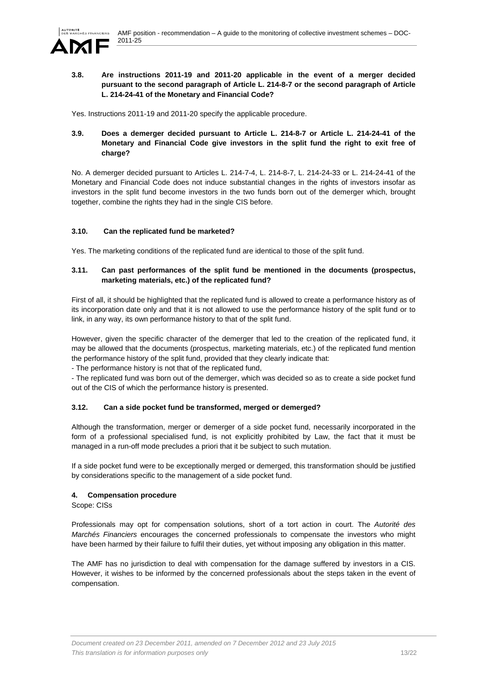

### **3.8. Are instructions 2011-19 and 2011-20 applicable in the event of a merger decided pursuant to the second paragraph of Article L. 214-8-7 or the second paragraph of Article L. 214-24-41 of the Monetary and Financial Code?**

Yes. Instructions 2011-19 and 2011-20 specify the applicable procedure.

# **3.9. Does a demerger decided pursuant to Article L. 214-8-7 or Article L. 214-24-41 of the Monetary and Financial Code give investors in the split fund the right to exit free of charge?**

No. A demerger decided pursuant to Articles L. 214-7-4, L. 214-8-7, L. 214-24-33 or L. 214-24-41 of the Monetary and Financial Code does not induce substantial changes in the rights of investors insofar as investors in the split fund become investors in the two funds born out of the demerger which, brought together, combine the rights they had in the single CIS before.

# **3.10. Can the replicated fund be marketed?**

Yes. The marketing conditions of the replicated fund are identical to those of the split fund.

# **3.11. Can past performances of the split fund be mentioned in the documents (prospectus, marketing materials, etc.) of the replicated fund?**

First of all, it should be highlighted that the replicated fund is allowed to create a performance history as of its incorporation date only and that it is not allowed to use the performance history of the split fund or to link, in any way, its own performance history to that of the split fund.

However, given the specific character of the demerger that led to the creation of the replicated fund, it may be allowed that the documents (prospectus, marketing materials, etc.) of the replicated fund mention the performance history of the split fund, provided that they clearly indicate that:

- The performance history is not that of the replicated fund,

- The replicated fund was born out of the demerger, which was decided so as to create a side pocket fund out of the CIS of which the performance history is presented.

# **3.12. Can a side pocket fund be transformed, merged or demerged?**

Although the transformation, merger or demerger of a side pocket fund, necessarily incorporated in the form of a professional specialised fund, is not explicitly prohibited by Law, the fact that it must be managed in a run-off mode precludes a priori that it be subject to such mutation.

If a side pocket fund were to be exceptionally merged or demerged, this transformation should be justified by considerations specific to the management of a side pocket fund.

# **4. Compensation procedure**

Scope: CISs

Professionals may opt for compensation solutions, short of a tort action in court. The *Autorité des Marchés Financiers* encourages the concerned professionals to compensate the investors who might have been harmed by their failure to fulfil their duties, yet without imposing any obligation in this matter.

The AMF has no jurisdiction to deal with compensation for the damage suffered by investors in a CIS. However, it wishes to be informed by the concerned professionals about the steps taken in the event of compensation.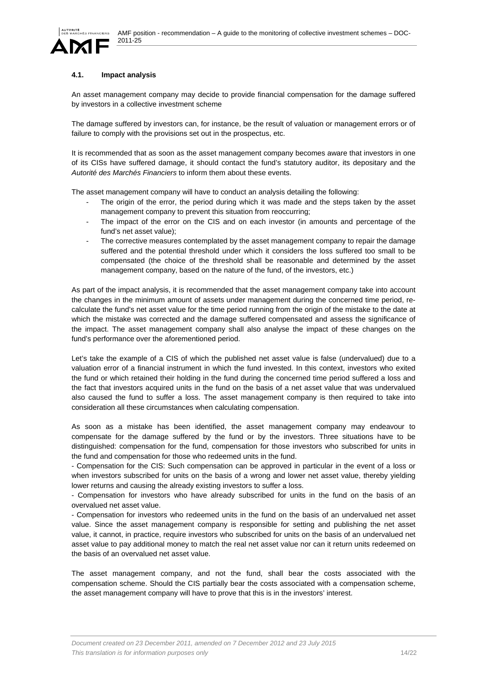# **4.1. Impact analysis**

An asset management company may decide to provide financial compensation for the damage suffered by investors in a collective investment scheme

The damage suffered by investors can, for instance, be the result of valuation or management errors or of failure to comply with the provisions set out in the prospectus, etc.

It is recommended that as soon as the asset management company becomes aware that investors in one of its CISs have suffered damage, it should contact the fund's statutory auditor, its depositary and the *Autorité des Marchés Financiers* to inform them about these events.

The asset management company will have to conduct an analysis detailing the following:

- The origin of the error, the period during which it was made and the steps taken by the asset management company to prevent this situation from reoccurring;
- The impact of the error on the CIS and on each investor (in amounts and percentage of the fund's net asset value);
- The corrective measures contemplated by the asset management company to repair the damage suffered and the potential threshold under which it considers the loss suffered too small to be compensated (the choice of the threshold shall be reasonable and determined by the asset management company, based on the nature of the fund, of the investors, etc.)

As part of the impact analysis, it is recommended that the asset management company take into account the changes in the minimum amount of assets under management during the concerned time period, recalculate the fund's net asset value for the time period running from the origin of the mistake to the date at which the mistake was corrected and the damage suffered compensated and assess the significance of the impact. The asset management company shall also analyse the impact of these changes on the fund's performance over the aforementioned period.

Let's take the example of a CIS of which the published net asset value is false (undervalued) due to a valuation error of a financial instrument in which the fund invested. In this context, investors who exited the fund or which retained their holding in the fund during the concerned time period suffered a loss and the fact that investors acquired units in the fund on the basis of a net asset value that was undervalued also caused the fund to suffer a loss. The asset management company is then required to take into consideration all these circumstances when calculating compensation.

As soon as a mistake has been identified, the asset management company may endeavour to compensate for the damage suffered by the fund or by the investors. Three situations have to be distinguished: compensation for the fund, compensation for those investors who subscribed for units in the fund and compensation for those who redeemed units in the fund.

- Compensation for the CIS: Such compensation can be approved in particular in the event of a loss or when investors subscribed for units on the basis of a wrong and lower net asset value, thereby yielding lower returns and causing the already existing investors to suffer a loss.

- Compensation for investors who have already subscribed for units in the fund on the basis of an overvalued net asset value.

- Compensation for investors who redeemed units in the fund on the basis of an undervalued net asset value. Since the asset management company is responsible for setting and publishing the net asset value, it cannot, in practice, require investors who subscribed for units on the basis of an undervalued net asset value to pay additional money to match the real net asset value nor can it return units redeemed on the basis of an overvalued net asset value.

The asset management company, and not the fund, shall bear the costs associated with the compensation scheme. Should the CIS partially bear the costs associated with a compensation scheme, the asset management company will have to prove that this is in the investors' interest.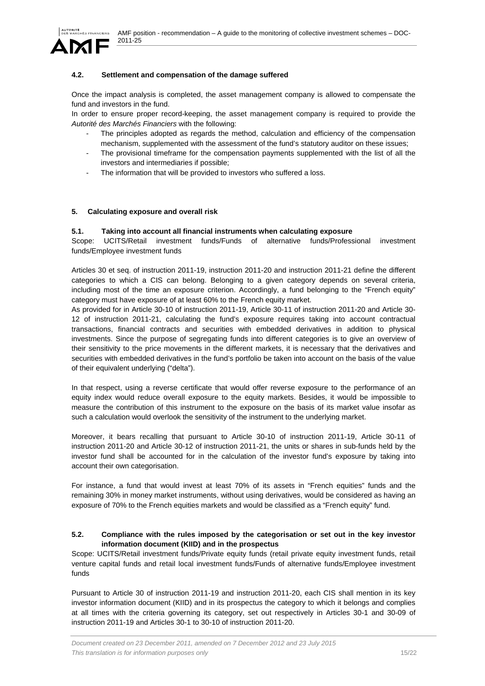

# **4.2. Settlement and compensation of the damage suffered**

Once the impact analysis is completed, the asset management company is allowed to compensate the fund and investors in the fund.

In order to ensure proper record-keeping, the asset management company is required to provide the *Autorité des Marchés Financiers* with the following:

- The principles adopted as regards the method, calculation and efficiency of the compensation mechanism, supplemented with the assessment of the fund's statutory auditor on these issues;
- The provisional timeframe for the compensation payments supplemented with the list of all the investors and intermediaries if possible;
- The information that will be provided to investors who suffered a loss.

# **5. Calculating exposure and overall risk**

### **5.1. Taking into account all financial instruments when calculating exposure**

Scope: UCITS/Retail investment funds/Funds of alternative funds/Professional investment funds/Employee investment funds

Articles 30 et seq. of instruction 2011-19, instruction 2011-20 and instruction 2011-21 define the different categories to which a CIS can belong. Belonging to a given category depends on several criteria, including most of the time an exposure criterion. Accordingly, a fund belonging to the "French equity" category must have exposure of at least 60% to the French equity market.

As provided for in Article 30-10 of instruction 2011-19, Article 30-11 of instruction 2011-20 and Article 30- 12 of instruction 2011-21, calculating the fund's exposure requires taking into account contractual transactions, financial contracts and securities with embedded derivatives in addition to physical investments. Since the purpose of segregating funds into different categories is to give an overview of their sensitivity to the price movements in the different markets, it is necessary that the derivatives and securities with embedded derivatives in the fund's portfolio be taken into account on the basis of the value of their equivalent underlying ("delta").

In that respect, using a reverse certificate that would offer reverse exposure to the performance of an equity index would reduce overall exposure to the equity markets. Besides, it would be impossible to measure the contribution of this instrument to the exposure on the basis of its market value insofar as such a calculation would overlook the sensitivity of the instrument to the underlying market.

Moreover, it bears recalling that pursuant to Article 30-10 of instruction 2011-19, Article 30-11 of instruction 2011-20 and Article 30-12 of instruction 2011-21, the units or shares in sub-funds held by the investor fund shall be accounted for in the calculation of the investor fund's exposure by taking into account their own categorisation.

For instance, a fund that would invest at least 70% of its assets in "French equities" funds and the remaining 30% in money market instruments, without using derivatives, would be considered as having an exposure of 70% to the French equities markets and would be classified as a "French equity" fund.

### **5.2. Compliance with the rules imposed by the categorisation or set out in the key investor information document (KIID) and in the prospectus**

Scope: UCITS/Retail investment funds/Private equity funds (retail private equity investment funds, retail venture capital funds and retail local investment funds/Funds of alternative funds/Employee investment funds

Pursuant to Article 30 of instruction 2011-19 and instruction 2011-20, each CIS shall mention in its key investor information document (KIID) and in its prospectus the category to which it belongs and complies at all times with the criteria governing its category, set out respectively in Articles 30-1 and 30-09 of instruction 2011-19 and Articles 30-1 to 30-10 of instruction 2011-20.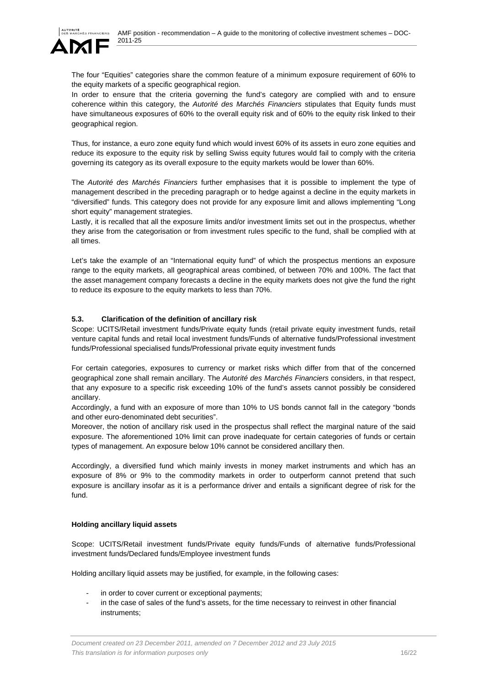

The four "Equities" categories share the common feature of a minimum exposure requirement of 60% to the equity markets of a specific geographical region.

In order to ensure that the criteria governing the fund's category are complied with and to ensure coherence within this category, the *Autorité des Marchés Financiers* stipulates that Equity funds must have simultaneous exposures of 60% to the overall equity risk and of 60% to the equity risk linked to their geographical region.

Thus, for instance, a euro zone equity fund which would invest 60% of its assets in euro zone equities and reduce its exposure to the equity risk by selling Swiss equity futures would fail to comply with the criteria governing its category as its overall exposure to the equity markets would be lower than 60%.

The *Autorité des Marchés Financiers* further emphasises that it is possible to implement the type of management described in the preceding paragraph or to hedge against a decline in the equity markets in "diversified" funds. This category does not provide for any exposure limit and allows implementing "Long short equity" management strategies.

Lastly, it is recalled that all the exposure limits and/or investment limits set out in the prospectus, whether they arise from the categorisation or from investment rules specific to the fund, shall be complied with at all times.

Let's take the example of an "International equity fund" of which the prospectus mentions an exposure range to the equity markets, all geographical areas combined, of between 70% and 100%. The fact that the asset management company forecasts a decline in the equity markets does not give the fund the right to reduce its exposure to the equity markets to less than 70%.

# **5.3. Clarification of the definition of ancillary risk**

Scope: UCITS/Retail investment funds/Private equity funds (retail private equity investment funds, retail venture capital funds and retail local investment funds/Funds of alternative funds/Professional investment funds/Professional specialised funds/Professional private equity investment funds

For certain categories, exposures to currency or market risks which differ from that of the concerned geographical zone shall remain ancillary. The *Autorité des Marchés Financiers* considers, in that respect, that any exposure to a specific risk exceeding 10% of the fund's assets cannot possibly be considered ancillary.

Accordingly, a fund with an exposure of more than 10% to US bonds cannot fall in the category "bonds and other euro-denominated debt securities".

Moreover, the notion of ancillary risk used in the prospectus shall reflect the marginal nature of the said exposure. The aforementioned 10% limit can prove inadequate for certain categories of funds or certain types of management. An exposure below 10% cannot be considered ancillary then.

Accordingly, a diversified fund which mainly invests in money market instruments and which has an exposure of 8% or 9% to the commodity markets in order to outperform cannot pretend that such exposure is ancillary insofar as it is a performance driver and entails a significant degree of risk for the fund.

### **Holding ancillary liquid assets**

Scope: UCITS/Retail investment funds/Private equity funds/Funds of alternative funds/Professional investment funds/Declared funds/Employee investment funds

Holding ancillary liquid assets may be justified, for example, in the following cases:

- in order to cover current or exceptional payments;
- in the case of sales of the fund's assets, for the time necessary to reinvest in other financial instruments;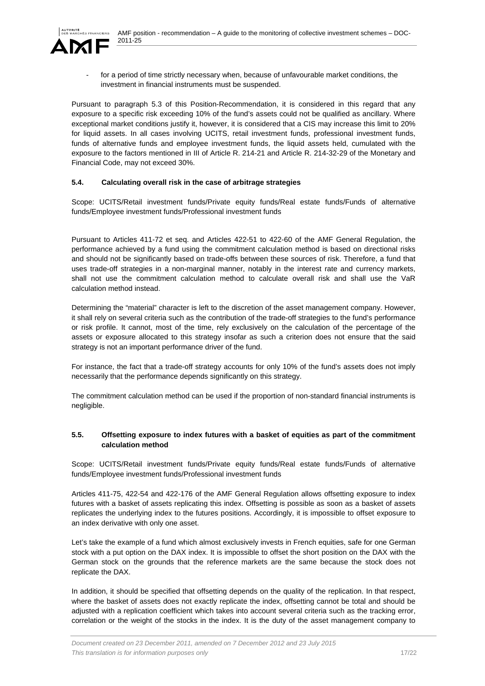

for a period of time strictly necessary when, because of unfavourable market conditions, the investment in financial instruments must be suspended.

Pursuant to paragraph 5.3 of this Position-Recommendation, it is considered in this regard that any exposure to a specific risk exceeding 10% of the fund's assets could not be qualified as ancillary. Where exceptional market conditions justify it, however, it is considered that a CIS may increase this limit to 20% for liquid assets. In all cases involving UCITS, retail investment funds, professional investment funds, funds of alternative funds and employee investment funds, the liquid assets held, cumulated with the exposure to the factors mentioned in III of Article R. 214-21 and Article R. 214-32-29 of the Monetary and Financial Code, may not exceed 30%.

# **5.4. Calculating overall risk in the case of arbitrage strategies**

Scope: UCITS/Retail investment funds/Private equity funds/Real estate funds/Funds of alternative funds/Employee investment funds/Professional investment funds

Pursuant to Articles 411-72 et seq. and Articles 422-51 to 422-60 of the AMF General Regulation, the performance achieved by a fund using the commitment calculation method is based on directional risks and should not be significantly based on trade-offs between these sources of risk. Therefore, a fund that uses trade-off strategies in a non-marginal manner, notably in the interest rate and currency markets, shall not use the commitment calculation method to calculate overall risk and shall use the VaR calculation method instead.

Determining the "material" character is left to the discretion of the asset management company. However, it shall rely on several criteria such as the contribution of the trade-off strategies to the fund's performance or risk profile. It cannot, most of the time, rely exclusively on the calculation of the percentage of the assets or exposure allocated to this strategy insofar as such a criterion does not ensure that the said strategy is not an important performance driver of the fund.

For instance, the fact that a trade-off strategy accounts for only 10% of the fund's assets does not imply necessarily that the performance depends significantly on this strategy.

The commitment calculation method can be used if the proportion of non-standard financial instruments is negligible.

# **5.5. Offsetting exposure to index futures with a basket of equities as part of the commitment calculation method**

Scope: UCITS/Retail investment funds/Private equity funds/Real estate funds/Funds of alternative funds/Employee investment funds/Professional investment funds

Articles 411-75, 422-54 and 422-176 of the AMF General Regulation allows offsetting exposure to index futures with a basket of assets replicating this index. Offsetting is possible as soon as a basket of assets replicates the underlying index to the futures positions. Accordingly, it is impossible to offset exposure to an index derivative with only one asset.

Let's take the example of a fund which almost exclusively invests in French equities, safe for one German stock with a put option on the DAX index. It is impossible to offset the short position on the DAX with the German stock on the grounds that the reference markets are the same because the stock does not replicate the DAX.

In addition, it should be specified that offsetting depends on the quality of the replication. In that respect, where the basket of assets does not exactly replicate the index, offsetting cannot be total and should be adjusted with a replication coefficient which takes into account several criteria such as the tracking error, correlation or the weight of the stocks in the index. It is the duty of the asset management company to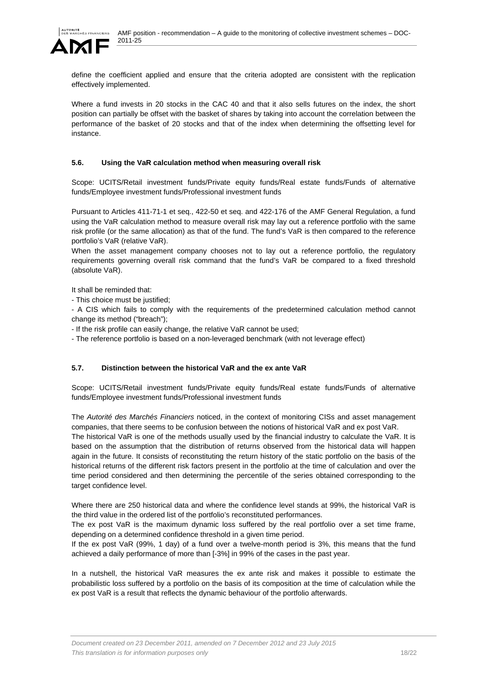

define the coefficient applied and ensure that the criteria adopted are consistent with the replication effectively implemented.

Where a fund invests in 20 stocks in the CAC 40 and that it also sells futures on the index, the short position can partially be offset with the basket of shares by taking into account the correlation between the performance of the basket of 20 stocks and that of the index when determining the offsetting level for instance.

# **5.6. Using the VaR calculation method when measuring overall risk**

Scope: UCITS/Retail investment funds/Private equity funds/Real estate funds/Funds of alternative funds/Employee investment funds/Professional investment funds

Pursuant to Articles 411-71-1 et seq., 422-50 et seq. and 422-176 of the AMF General Regulation, a fund using the VaR calculation method to measure overall risk may lay out a reference portfolio with the same risk profile (or the same allocation) as that of the fund. The fund's VaR is then compared to the reference portfolio's VaR (relative VaR).

When the asset management company chooses not to lay out a reference portfolio, the regulatory requirements governing overall risk command that the fund's VaR be compared to a fixed threshold (absolute VaR).

It shall be reminded that:

- This choice must be justified;

- A CIS which fails to comply with the requirements of the predetermined calculation method cannot change its method ("breach");

- If the risk profile can easily change, the relative VaR cannot be used;

- The reference portfolio is based on a non-leveraged benchmark (with not leverage effect)

# **5.7. Distinction between the historical VaR and the ex ante VaR**

Scope: UCITS/Retail investment funds/Private equity funds/Real estate funds/Funds of alternative funds/Employee investment funds/Professional investment funds

The *Autorité des Marchés Financiers* noticed, in the context of monitoring CISs and asset management companies, that there seems to be confusion between the notions of historical VaR and ex post VaR.

The historical VaR is one of the methods usually used by the financial industry to calculate the VaR. It is based on the assumption that the distribution of returns observed from the historical data will happen again in the future. It consists of reconstituting the return history of the static portfolio on the basis of the historical returns of the different risk factors present in the portfolio at the time of calculation and over the time period considered and then determining the percentile of the series obtained corresponding to the target confidence level.

Where there are 250 historical data and where the confidence level stands at 99%, the historical VaR is the third value in the ordered list of the portfolio's reconstituted performances.

The ex post VaR is the maximum dynamic loss suffered by the real portfolio over a set time frame, depending on a determined confidence threshold in a given time period.

If the ex post VaR (99%, 1 day) of a fund over a twelve-month period is 3%, this means that the fund achieved a daily performance of more than [-3%] in 99% of the cases in the past year.

In a nutshell, the historical VaR measures the ex ante risk and makes it possible to estimate the probabilistic loss suffered by a portfolio on the basis of its composition at the time of calculation while the ex post VaR is a result that reflects the dynamic behaviour of the portfolio afterwards.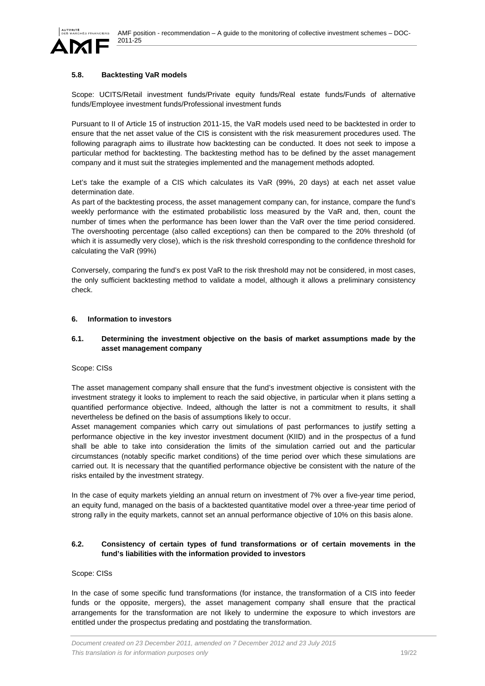

### **5.8. Backtesting VaR models**

Scope: UCITS/Retail investment funds/Private equity funds/Real estate funds/Funds of alternative funds/Employee investment funds/Professional investment funds

Pursuant to II of Article 15 of instruction 2011-15, the VaR models used need to be backtested in order to ensure that the net asset value of the CIS is consistent with the risk measurement procedures used. The following paragraph aims to illustrate how backtesting can be conducted. It does not seek to impose a particular method for backtesting. The backtesting method has to be defined by the asset management company and it must suit the strategies implemented and the management methods adopted.

Let's take the example of a CIS which calculates its VaR (99%, 20 days) at each net asset value determination date.

As part of the backtesting process, the asset management company can, for instance, compare the fund's weekly performance with the estimated probabilistic loss measured by the VaR and, then, count the number of times when the performance has been lower than the VaR over the time period considered. The overshooting percentage (also called exceptions) can then be compared to the 20% threshold (of which it is assumedly very close), which is the risk threshold corresponding to the confidence threshold for calculating the VaR (99%)

Conversely, comparing the fund's ex post VaR to the risk threshold may not be considered, in most cases, the only sufficient backtesting method to validate a model, although it allows a preliminary consistency check.

#### **6. Information to investors**

### **6.1. Determining the investment objective on the basis of market assumptions made by the asset management company**

Scope: CISs

The asset management company shall ensure that the fund's investment objective is consistent with the investment strategy it looks to implement to reach the said objective, in particular when it plans setting a quantified performance objective. Indeed, although the latter is not a commitment to results, it shall nevertheless be defined on the basis of assumptions likely to occur.

Asset management companies which carry out simulations of past performances to justify setting a performance objective in the key investor investment document (KIID) and in the prospectus of a fund shall be able to take into consideration the limits of the simulation carried out and the particular circumstances (notably specific market conditions) of the time period over which these simulations are carried out. It is necessary that the quantified performance objective be consistent with the nature of the risks entailed by the investment strategy.

In the case of equity markets yielding an annual return on investment of 7% over a five-year time period, an equity fund, managed on the basis of a backtested quantitative model over a three-year time period of strong rally in the equity markets, cannot set an annual performance objective of 10% on this basis alone.

### **6.2. Consistency of certain types of fund transformations or of certain movements in the fund's liabilities with the information provided to investors**

#### Scope: CISs

In the case of some specific fund transformations (for instance, the transformation of a CIS into feeder funds or the opposite, mergers), the asset management company shall ensure that the practical arrangements for the transformation are not likely to undermine the exposure to which investors are entitled under the prospectus predating and postdating the transformation.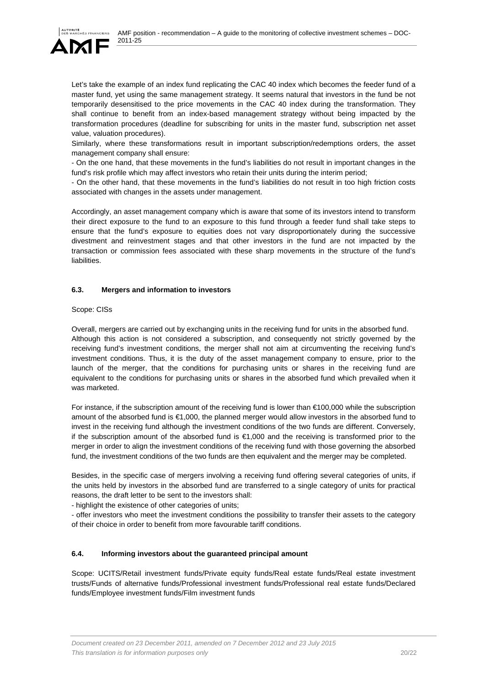

Let's take the example of an index fund replicating the CAC 40 index which becomes the feeder fund of a master fund, yet using the same management strategy. It seems natural that investors in the fund be not temporarily desensitised to the price movements in the CAC 40 index during the transformation. They shall continue to benefit from an index-based management strategy without being impacted by the transformation procedures (deadline for subscribing for units in the master fund, subscription net asset value, valuation procedures).

Similarly, where these transformations result in important subscription/redemptions orders, the asset management company shall ensure:

- On the one hand, that these movements in the fund's liabilities do not result in important changes in the fund's risk profile which may affect investors who retain their units during the interim period;

- On the other hand, that these movements in the fund's liabilities do not result in too high friction costs associated with changes in the assets under management.

Accordingly, an asset management company which is aware that some of its investors intend to transform their direct exposure to the fund to an exposure to this fund through a feeder fund shall take steps to ensure that the fund's exposure to equities does not vary disproportionately during the successive divestment and reinvestment stages and that other investors in the fund are not impacted by the transaction or commission fees associated with these sharp movements in the structure of the fund's liabilities.

### **6.3. Mergers and information to investors**

Scope: CISs

Overall, mergers are carried out by exchanging units in the receiving fund for units in the absorbed fund. Although this action is not considered a subscription, and consequently not strictly governed by the receiving fund's investment conditions, the merger shall not aim at circumventing the receiving fund's investment conditions. Thus, it is the duty of the asset management company to ensure, prior to the launch of the merger, that the conditions for purchasing units or shares in the receiving fund are equivalent to the conditions for purchasing units or shares in the absorbed fund which prevailed when it was marketed.

For instance, if the subscription amount of the receiving fund is lower than €100,000 while the subscription amount of the absorbed fund is €1,000, the planned merger would allow investors in the absorbed fund to invest in the receiving fund although the investment conditions of the two funds are different. Conversely, if the subscription amount of the absorbed fund is €1,000 and the receiving is transformed prior to the merger in order to align the investment conditions of the receiving fund with those governing the absorbed fund, the investment conditions of the two funds are then equivalent and the merger may be completed.

Besides, in the specific case of mergers involving a receiving fund offering several categories of units, if the units held by investors in the absorbed fund are transferred to a single category of units for practical reasons, the draft letter to be sent to the investors shall:

- highlight the existence of other categories of units;

- offer investors who meet the investment conditions the possibility to transfer their assets to the category of their choice in order to benefit from more favourable tariff conditions.

### **6.4. Informing investors about the guaranteed principal amount**

Scope: UCITS/Retail investment funds/Private equity funds/Real estate funds/Real estate investment trusts/Funds of alternative funds/Professional investment funds/Professional real estate funds/Declared funds/Employee investment funds/Film investment funds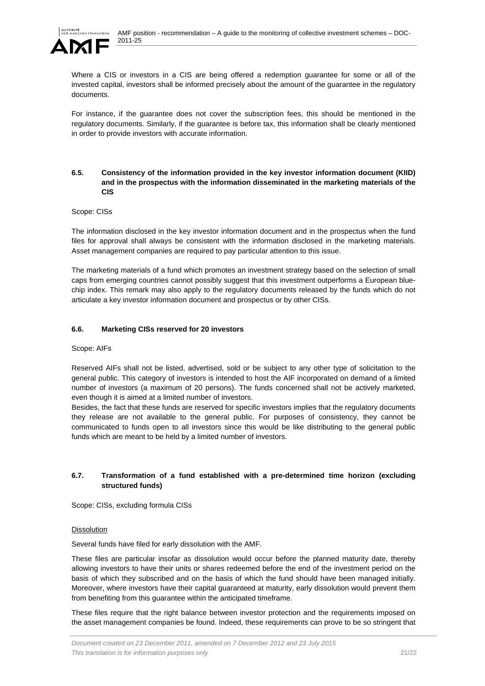

Where a CIS or investors in a CIS are being offered a redemption guarantee for some or all of the invested capital, investors shall be informed precisely about the amount of the guarantee in the regulatory documents.

For instance, if the guarantee does not cover the subscription fees, this should be mentioned in the regulatory documents. Similarly, if the guarantee is before tax, this information shall be clearly mentioned in order to provide investors with accurate information.

### **6.5. Consistency of the information provided in the key investor information document (KIID) and in the prospectus with the information disseminated in the marketing materials of the CIS**

#### Scope: CISs

The information disclosed in the key investor information document and in the prospectus when the fund files for approval shall always be consistent with the information disclosed in the marketing materials. Asset management companies are required to pay particular attention to this issue.

The marketing materials of a fund which promotes an investment strategy based on the selection of small caps from emerging countries cannot possibly suggest that this investment outperforms a European bluechip index. This remark may also apply to the regulatory documents released by the funds which do not articulate a key investor information document and prospectus or by other CISs.

### **6.6. Marketing CISs reserved for 20 investors**

### Scope: AIFs

Reserved AIFs shall not be listed, advertised, sold or be subject to any other type of solicitation to the general public. This category of investors is intended to host the AIF incorporated on demand of a limited number of investors (a maximum of 20 persons). The funds concerned shall not be actively marketed, even though it is aimed at a limited number of investors.

Besides, the fact that these funds are reserved for specific investors implies that the regulatory documents they release are not available to the general public. For purposes of consistency, they cannot be communicated to funds open to all investors since this would be like distributing to the general public funds which are meant to be held by a limited number of investors.

# **6.7. Transformation of a fund established with a pre-determined time horizon (excluding structured funds)**

Scope: CISs, excluding formula CISs

#### Dissolution

Several funds have filed for early dissolution with the AMF.

These files are particular insofar as dissolution would occur before the planned maturity date, thereby allowing investors to have their units or shares redeemed before the end of the investment period on the basis of which they subscribed and on the basis of which the fund should have been managed initially. Moreover, where investors have their capital guaranteed at maturity, early dissolution would prevent them from benefiting from this guarantee within the anticipated timeframe.

These files require that the right balance between investor protection and the requirements imposed on the asset management companies be found. Indeed, these requirements can prove to be so stringent that